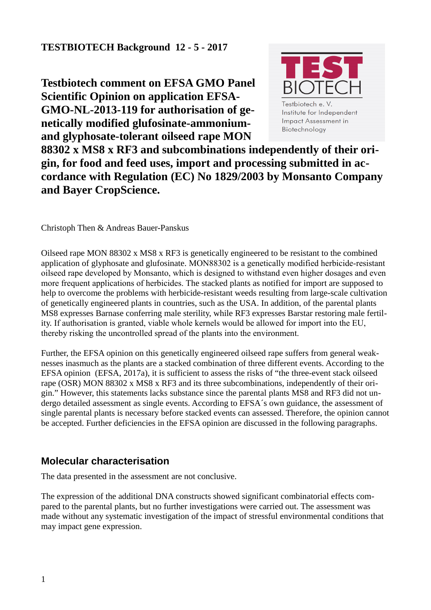**Testbiotech comment on EFSA GMO Panel Scientific Opinion on application EFSA-GMO-NL-2013-119 for authorisation of genetically modified glufosinate-ammoniumand glyphosate-tolerant oilseed rape MON**



**88302 x MS8 x RF3 and subcombinations independently of their origin, for food and feed uses, import and processing submitted in accordance with Regulation (EC) No 1829/2003 by Monsanto Company and Bayer CropScience.**

Christoph Then & Andreas Bauer-Panskus

Oilseed rape MON 88302 x MS8 x RF3 is genetically engineered to be resistant to the combined application of glyphosate and glufosinate. MON88302 is a genetically modified herbicide-resistant oilseed rape developed by Monsanto, which is designed to withstand even higher dosages and even more frequent applications of herbicides. The stacked plants as notified for import are supposed to help to overcome the problems with herbicide-resistant weeds resulting from large-scale cultivation of genetically engineered plants in countries, such as the USA. In addition, of the parental plants MS8 expresses Barnase conferring male sterility, while RF3 expresses Barstar restoring male fertility. If authorisation is granted, viable whole kernels would be allowed for import into the EU, thereby risking the uncontrolled spread of the plants into the environment.

Further, the EFSA opinion on this genetically engineered oilseed rape suffers from general weaknesses inasmuch as the plants are a stacked combination of three different events. According to the EFSA opinion (EFSA, 2017a), it is sufficient to assess the risks of "the three-event stack oilseed rape (OSR) MON 88302 x MS8 x RF3 and its three subcombinations, independently of their origin." However, this statements lacks substance since the parental plants MS8 and RF3 did not undergo detailed assessment as single events. According to EFSA´s own guidance, the assessment of single parental plants is necessary before stacked events can assessed. Therefore, the opinion cannot be accepted. Further deficiencies in the EFSA opinion are discussed in the following paragraphs.

# **Molecular characterisation**

The data presented in the assessment are not conclusive.

The expression of the additional DNA constructs showed significant combinatorial effects compared to the parental plants, but no further investigations were carried out. The assessment was made without any systematic investigation of the impact of stressful environmental conditions that may impact gene expression.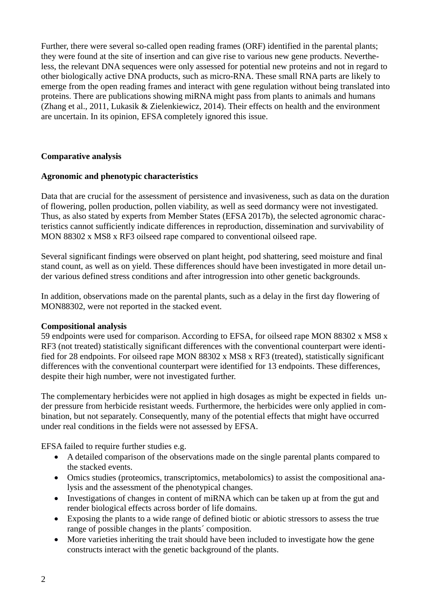Further, there were several so-called open reading frames (ORF) identified in the parental plants; they were found at the site of insertion and can give rise to various new gene products. Nevertheless, the relevant DNA sequences were only assessed for potential new proteins and not in regard to other biologically active DNA products, such as micro-RNA. These small RNA parts are likely to emerge from the open reading frames and interact with gene regulation without being translated into proteins. There are publications showing miRNA might pass from plants to animals and humans (Zhang et al., 2011, Lukasik & Zielenkiewicz, 2014). Their effects on health and the environment are uncertain. In its opinion, EFSA completely ignored this issue.

## **Comparative analysis**

### **Agronomic and phenotypic characteristics**

Data that are crucial for the assessment of persistence and invasiveness, such as data on the duration of flowering, pollen production, pollen viability, as well as seed dormancy were not investigated. Thus, as also stated by experts from Member States (EFSA 2017b), the selected agronomic characteristics cannot sufficiently indicate differences in reproduction, dissemination and survivability of MON 88302 x MS8 x RF3 oilseed rape compared to conventional oilseed rape.

Several significant findings were observed on plant height, pod shattering, seed moisture and final stand count, as well as on yield. These differences should have been investigated in more detail under various defined stress conditions and after introgression into other genetic backgrounds.

In addition, observations made on the parental plants, such as a delay in the first day flowering of MON88302, were not reported in the stacked event.

### **Compositional analysis**

59 endpoints were used for comparison. According to EFSA, for oilseed rape MON 88302 x MS8 x RF3 (not treated) statistically significant differences with the conventional counterpart were identified for 28 endpoints. For oilseed rape MON 88302 x MS8 x RF3 (treated), statistically significant differences with the conventional counterpart were identified for 13 endpoints. These differences, despite their high number, were not investigated further.

The complementary herbicides were not applied in high dosages as might be expected in fields under pressure from herbicide resistant weeds. Furthermore, the herbicides were only applied in combination, but not separately. Consequently, many of the potential effects that might have occurred under real conditions in the fields were not assessed by EFSA.

EFSA failed to require further studies e.g.

- A detailed comparison of the observations made on the single parental plants compared to the stacked events.
- Omics studies (proteomics, transcriptomics, metabolomics) to assist the compositional analysis and the assessment of the phenotypical changes.
- Investigations of changes in content of miRNA which can be taken up at from the gut and render biological effects across border of life domains.
- Exposing the plants to a wide range of defined biotic or abiotic stressors to assess the true range of possible changes in the plants´ composition.
- More varieties inheriting the trait should have been included to investigate how the gene constructs interact with the genetic background of the plants.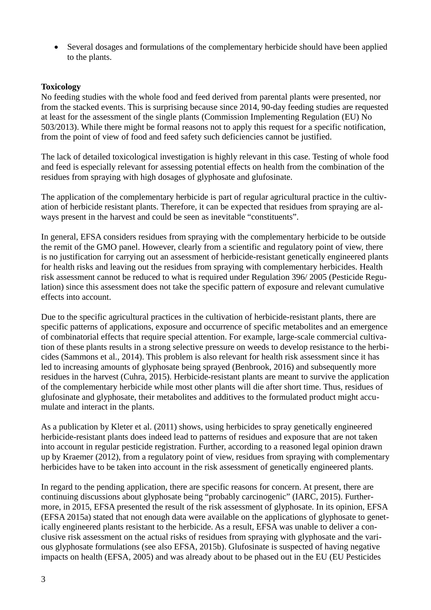Several dosages and formulations of the complementary herbicide should have been applied to the plants.

### **Toxicology**

No feeding studies with the whole food and feed derived from parental plants were presented, nor from the stacked events. This is surprising because since 2014, 90-day feeding studies are requested at least for the assessment of the single plants (Commission Implementing Regulation (EU) No 503/2013). While there might be formal reasons not to apply this request for a specific notification, from the point of view of food and feed safety such deficiencies cannot be justified.

The lack of detailed toxicological investigation is highly relevant in this case. Testing of whole food and feed is especially relevant for assessing potential effects on health from the combination of the residues from spraying with high dosages of glyphosate and glufosinate.

The application of the complementary herbicide is part of regular agricultural practice in the cultivation of herbicide resistant plants. Therefore, it can be expected that residues from spraying are always present in the harvest and could be seen as inevitable "constituents".

In general, EFSA considers residues from spraying with the complementary herbicide to be outside the remit of the GMO panel. However, clearly from a scientific and regulatory point of view, there is no justification for carrying out an assessment of herbicide-resistant genetically engineered plants for health risks and leaving out the residues from spraying with complementary herbicides. Health risk assessment cannot be reduced to what is required under Regulation 396/ 2005 (Pesticide Regulation) since this assessment does not take the specific pattern of exposure and relevant cumulative effects into account.

Due to the specific agricultural practices in the cultivation of herbicide-resistant plants, there are specific patterns of applications, exposure and occurrence of specific metabolites and an emergence of combinatorial effects that require special attention. For example, large-scale commercial cultivation of these plants results in a strong selective pressure on weeds to develop resistance to the herbicides (Sammons et al., 2014). This problem is also relevant for health risk assessment since it has led to increasing amounts of glyphosate being sprayed (Benbrook, 2016) and subsequently more residues in the harvest (Cuhra, 2015). Herbicide-resistant plants are meant to survive the application of the complementary herbicide while most other plants will die after short time. Thus, residues of glufosinate and glyphosate, their metabolites and additives to the formulated product might accumulate and interact in the plants.

As a publication by Kleter et al. (2011) shows, using herbicides to spray genetically engineered herbicide-resistant plants does indeed lead to patterns of residues and exposure that are not taken into account in regular pesticide registration. Further, according to a reasoned legal opinion drawn up by Kraemer (2012), from a regulatory point of view, residues from spraying with complementary herbicides have to be taken into account in the risk assessment of genetically engineered plants.

In regard to the pending application, there are specific reasons for concern. At present, there are continuing discussions about glyphosate being "probably carcinogenic" (IARC, 2015). Furthermore, in 2015, EFSA presented the result of the risk assessment of glyphosate. In its opinion, EFSA (EFSA 2015a) stated that not enough data were available on the applications of glyphosate to genetically engineered plants resistant to the herbicide. As a result, EFSA was unable to deliver a conclusive risk assessment on the actual risks of residues from spraying with glyphosate and the various glyphosate formulations (see also EFSA, 2015b). Glufosinate is suspected of having negative impacts on health (EFSA, 2005) and was already about to be phased out in the EU (EU Pesticides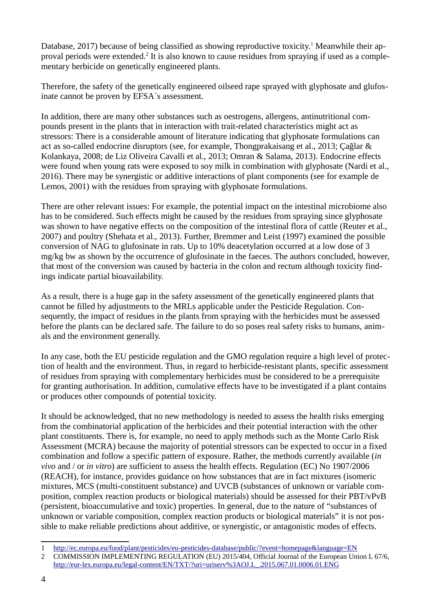Database, 20[1](#page-3-0)7) because of being classified as showing reproductive toxicity.<sup>1</sup> Meanwhile their ap-proval periods were extended.<sup>[2](#page-3-1)</sup> It is also known to cause residues from spraying if used as a complementary herbicide on genetically engineered plants.

Therefore, the safety of the genetically engineered oilseed rape sprayed with glyphosate and glufosinate cannot be proven by EFSA´s assessment.

In addition, there are many other substances such as oestrogens, allergens, antinutritional compounds present in the plants that in interaction with trait-related characteristics might act as stressors: There is a considerable amount of literature indicating that glyphosate formulations can act as so-called endocrine disruptors (see, for example, Thongprakaisang et al., 2013; Çağlar & Kolankaya, 2008; de Liz Oliveira Cavalli et al., 2013; Omran & Salama, 2013). Endocrine effects were found when young rats were exposed to soy milk in combination with glyphosate (Nardi et al., 2016). There may be synergistic or additive interactions of plant components (see for example de Lemos, 2001) with the residues from spraying with glyphosate formulations.

There are other relevant issues: For example, the potential impact on the intestinal microbiome also has to be considered. Such effects might be caused by the residues from spraying since glyphosate was shown to have negative effects on the composition of the intestinal flora of cattle (Reuter et al., 2007) and poultry (Shehata et al., 2013). Further, Bremmer and Leist (1997) examined the possible conversion of NAG to glufosinate in rats. Up to 10% deacetylation occurred at a low dose of 3 mg/kg bw as shown by the occurrence of glufosinate in the faeces. The authors concluded, however, that most of the conversion was caused by bacteria in the colon and rectum although toxicity findings indicate partial bioavailability.

As a result, there is a huge gap in the safety assessment of the genetically engineered plants that cannot be filled by adjustments to the MRLs applicable under the Pesticide Regulation. Consequently, the impact of residues in the plants from spraying with the herbicides must be assessed before the plants can be declared safe. The failure to do so poses real safety risks to humans, animals and the environment generally.

In any case, both the EU pesticide regulation and the GMO regulation require a high level of protection of health and the environment. Thus, in regard to herbicide-resistant plants, specific assessment of residues from spraying with complementary herbicides must be considered to be a prerequisite for granting authorisation. In addition, cumulative effects have to be investigated if a plant contains or produces other compounds of potential toxicity.

It should be acknowledged, that no new methodology is needed to assess the health risks emerging from the combinatorial application of the herbicides and their potential interaction with the other plant constituents. There is, for example, no need to apply methods such as the Monte Carlo Risk Assessment (MCRA) because the majority of potential stressors can be expected to occur in a fixed combination and follow a specific pattern of exposure. Rather, the methods currently available (*in vivo* and / or *in vitro*) are sufficient to assess the health effects. Regulation (EC) No 1907/2006 (REACH), for instance, provides guidance on how substances that are in fact mixtures (isomeric mixtures, MCS (multi-constituent substance) and UVCB (substances of unknown or variable composition, complex reaction products or biological materials) should be assessed for their PBT/vPvB (persistent, bioaccumulative and toxic) properties. In general, due to the nature of "substances of unknown or variable composition, complex reaction products or biological materials" it is not possible to make reliable predictions about additive, or synergistic, or antagonistic modes of effects.

<span id="page-3-0"></span><sup>1</sup> <http://ec.europa.eu/food/plant/pesticides/eu-pesticides-database/public/?event=homepage&language=EN>

<span id="page-3-1"></span><sup>2</sup> COMMISSION IMPLEMENTING REGULATION (EU) 2015/404, Official Journal of the European Union L 67/6, [http://eur-lex.europa.eu/legal-content/EN/TXT/?uri=uriserv%3AOJ.L\\_.2015.067.01.0006.01.ENG](http://eur-lex.europa.eu/legal-content/EN/TXT/?uri=uriserv%3AOJ.L_.2015.067.01.0006.01.ENG)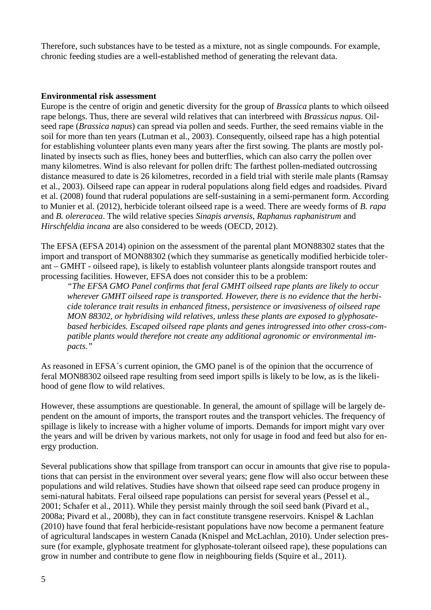Therefore, such substances have to be tested as a mixture, not as single compounds. For example, chronic feeding studies are a well-established method of generating the relevant data.

#### **Environmental risk assessment**

Europe is the centre of origin and genetic diversity for the group of *Brassica* plants to which oilseed rape belongs. Thus, there are several wild relatives that can interbreed with *Brassicus napus*. Oilseed rape (*Brassica napus*) can spread via pollen and seeds. Further, the seed remains viable in the soil for more than ten years (Lutman et al., 2003). Consequently, oilseed rape has a high potential for establishing volunteer plants even many years after the first sowing. The plants are mostly pollinated by insects such as flies, honey bees and butterflies, which can also carry the pollen over many kilometres. Wind is also relevant for pollen drift: The farthest pollen-mediated outcrossing distance measured to date is 26 kilometres, recorded in a field trial with sterile male plants (Ramsay et al., 2003). Oilseed rape can appear in ruderal populations along field edges and roadsides. Pivard et al. (2008) found that ruderal populations are self-sustaining in a semi-permanent form. According to Munier et al. (2012), herbicide tolerant oilseed rape is a weed. There are weedy forms of *B. rapa* and *B. olereracea*. The wild relative species *Sinapis arvensis*, *Raphanus raphanistrum* and *Hirschfeldia incana* are also considered to be weeds (OECD, 2012).

The EFSA (EFSA 2014) opinion on the assessment of the parental plant MON88302 states that the import and transport of MON88302 (which they summarise as genetically modified herbicide tolerant – GMHT - oilseed rape), is likely to establish volunteer plants alongside transport routes and processing facilities. However, EFSA does not consider this to be a problem:

*"The EFSA GMO Panel confirms that feral GMHT oilseed rape plants are likely to occur wherever GMHT oilseed rape is transported. However, there is no evidence that the herbicide tolerance trait results in enhanced fitness, persistence or invasiveness of oilseed rape MON 88302, or hybridising wild relatives, unless these plants are exposed to glyphosatebased herbicides. Escaped oilseed rape plants and genes introgressed into other cross-compatible plants would therefore not create any additional agronomic or environmental impacts."*

As reasoned in EFSA´s current opinion, the GMO panel is of the opinion that the occurrence of feral MON88302 oilseed rape resulting from seed import spills is likely to be low, as is the likelihood of gene flow to wild relatives.

However, these assumptions are questionable. In general, the amount of spillage will be largely dependent on the amount of imports, the transport routes and the transport vehicles. The frequency of spillage is likely to increase with a higher volume of imports. Demands for import might vary over the years and will be driven by various markets, not only for usage in food and feed but also for energy production.

Several publications show that spillage from transport can occur in amounts that give rise to populations that can persist in the environment over several years; gene flow will also occur between these populations and wild relatives. Studies have shown that oilseed rape seed can produce progeny in semi-natural habitats. Feral oilseed rape populations can persist for several years (Pessel et al., 2001; Schafer et al., 2011). While they persist mainly through the soil seed bank (Pivard et al., 2008a; Pivard et al., 2008b), they can in fact constitute transgene reservoirs. Knispel & Lachlan (2010) have found that feral herbicide-resistant populations have now become a permanent feature of agricultural landscapes in western Canada (Knispel and McLachlan, 2010). Under selection pressure (for example, glyphosate treatment for glyphosate-tolerant oilseed rape), these populations can grow in number and contribute to gene flow in neighbouring fields (Squire et al., 2011).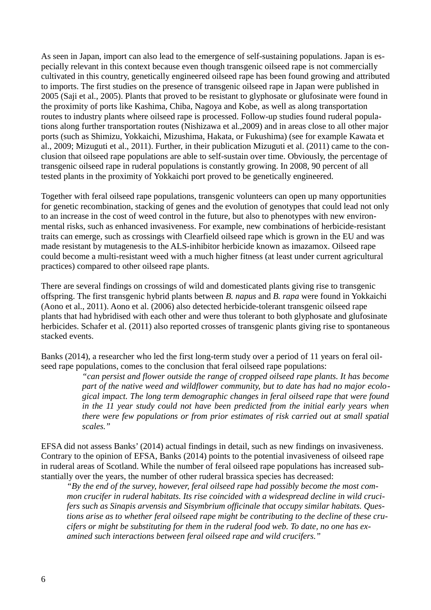As seen in Japan, import can also lead to the emergence of self-sustaining populations. Japan is especially relevant in this context because even though transgenic oilseed rape is not commercially cultivated in this country, genetically engineered oilseed rape has been found growing and attributed to imports. The first studies on the presence of transgenic oilseed rape in Japan were published in 2005 (Saji et al., 2005). Plants that proved to be resistant to glyphosate or glufosinate were found in the proximity of ports like Kashima, Chiba, Nagoya and Kobe, as well as along transportation routes to industry plants where oilseed rape is processed. Follow-up studies found ruderal populations along further transportation routes (Nishizawa et al.,2009) and in areas close to all other major ports (such as Shimizu, Yokkaichi, Mizushima, Hakata, or Fukushima) (see for example Kawata et al., 2009; Mizuguti et al., 2011). Further, in their publication Mizuguti et al. (2011) came to the conclusion that oilseed rape populations are able to self-sustain over time. Obviously, the percentage of transgenic oilseed rape in ruderal populations is constantly growing. In 2008, 90 percent of all tested plants in the proximity of Yokkaichi port proved to be genetically engineered.

Together with feral oilseed rape populations, transgenic volunteers can open up many opportunities for genetic recombination, stacking of genes and the evolution of genotypes that could lead not only to an increase in the cost of weed control in the future, but also to phenotypes with new environmental risks, such as enhanced invasiveness. For example, new combinations of herbicide-resistant traits can emerge, such as crossings with Clearfield oilseed rape which is grown in the EU and was made resistant by mutagenesis to the ALS-inhibitor herbicide known as imazamox. Oilseed rape could become a multi-resistant weed with a much higher fitness (at least under current agricultural practices) compared to other oilseed rape plants.

There are several findings on crossings of wild and domesticated plants giving rise to transgenic offspring. The first transgenic hybrid plants between *B. napus* and *B. rapa* were found in Yokkaichi (Aono et al., 2011). Aono et al. (2006) also detected herbicide-tolerant transgenic oilseed rape plants that had hybridised with each other and were thus tolerant to both glyphosate and glufosinate herbicides. Schafer et al. (2011) also reported crosses of transgenic plants giving rise to spontaneous stacked events.

Banks (2014), a researcher who led the first long-term study over a period of 11 years on feral oilseed rape populations, comes to the conclusion that feral oilseed rape populations:

> *"can persist and flower outside the range of cropped oilseed rape plants. It has become part of the native weed and wildflower community, but to date has had no major ecological impact. The long term demographic changes in feral oilseed rape that were found in the 11 year study could not have been predicted from the initial early years when there were few populations or from prior estimates of risk carried out at small spatial scales."*

EFSA did not assess Banks' (2014) actual findings in detail, such as new findings on invasiveness. Contrary to the opinion of EFSA, Banks (2014) points to the potential invasiveness of oilseed rape in ruderal areas of Scotland. While the number of feral oilseed rape populations has increased substantially over the years, the number of other ruderal brassica species has decreased:

*"By the end of the survey, however, feral oilseed rape had possibly become the most common crucifer in ruderal habitats. Its rise coincided with a widespread decline in wild crucifers such as Sinapis arvensis and Sisymbrium officinale that occupy similar habitats. Questions arise as to whether feral oilseed rape might be contributing to the decline of these crucifers or might be substituting for them in the ruderal food web. To date, no one has examined such interactions between feral oilseed rape and wild crucifers."*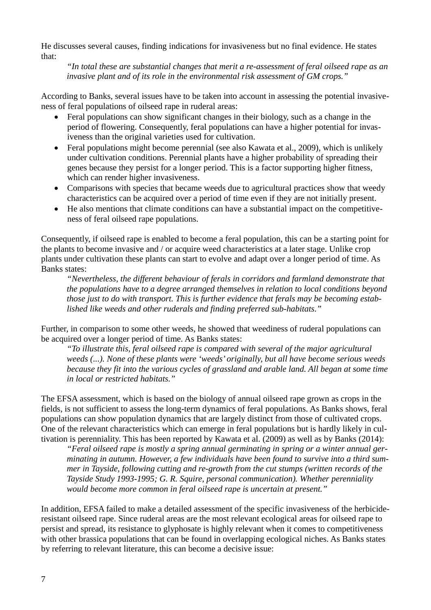He discusses several causes, finding indications for invasiveness but no final evidence. He states that:

*"In total these are substantial changes that merit a re-assessment of feral oilseed rape as an invasive plant and of its role in the environmental risk assessment of GM crops."*

According to Banks, several issues have to be taken into account in assessing the potential invasiveness of feral populations of oilseed rape in ruderal areas:

- Feral populations can show significant changes in their biology, such as a change in the period of flowering. Consequently, feral populations can have a higher potential for invasiveness than the original varieties used for cultivation.
- Feral populations might become perennial (see also Kawata et al., 2009), which is unlikely under cultivation conditions. Perennial plants have a higher probability of spreading their genes because they persist for a longer period. This is a factor supporting higher fitness, which can render higher invasiveness.
- Comparisons with species that became weeds due to agricultural practices show that weedy characteristics can be acquired over a period of time even if they are not initially present.
- He also mentions that climate conditions can have a substantial impact on the competitiveness of feral oilseed rape populations.

Consequently, if oilseed rape is enabled to become a feral population, this can be a starting point for the plants to become invasive and / or acquire weed characteristics at a later stage. Unlike crop plants under cultivation these plants can start to evolve and adapt over a longer period of time. As Banks states:

*"Nevertheless, the different behaviour of ferals in corridors and farmland demonstrate that the populations have to a degree arranged themselves in relation to local conditions beyond those just to do with transport. This is further evidence that ferals may be becoming established like weeds and other ruderals and finding preferred sub-habitats."*

Further, in comparison to some other weeds, he showed that weediness of ruderal populations can be acquired over a longer period of time. As Banks states:

*"To illustrate this, feral oilseed rape is compared with several of the major agricultural weeds (...). None of these plants were 'weeds' originally, but all have become serious weeds because they fit into the various cycles of grassland and arable land. All began at some time in local or restricted habitats."*

The EFSA assessment, which is based on the biology of annual oilseed rape grown as crops in the fields, is not sufficient to assess the long-term dynamics of feral populations. As Banks shows, feral populations can show population dynamics that are largely distinct from those of cultivated crops. One of the relevant characteristics which can emerge in feral populations but is hardly likely in cultivation is perenniality. This has been reported by Kawata et al. (2009) as well as by Banks (2014):

*"Feral oilseed rape is mostly a spring annual germinating in spring or a winter annual germinating in autumn. However, a few individuals have been found to survive into a third summer in Tayside, following cutting and re-growth from the cut stumps (written records of the Tayside Study 1993-1995; G. R. Squire, personal communication). Whether perenniality would become more common in feral oilseed rape is uncertain at present."*

In addition, EFSA failed to make a detailed assessment of the specific invasiveness of the herbicideresistant oilseed rape. Since ruderal areas are the most relevant ecological areas for oilseed rape to persist and spread, its resistance to glyphosate is highly relevant when it comes to competitiveness with other brassica populations that can be found in overlapping ecological niches. As Banks states by referring to relevant literature, this can become a decisive issue: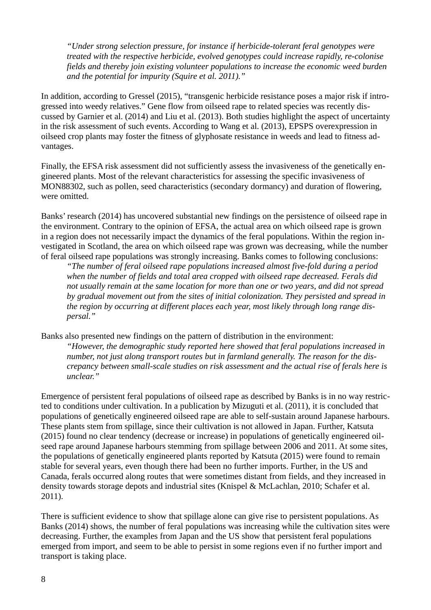*"Under strong selection pressure, for instance if herbicide-tolerant feral genotypes were treated with the respective herbicide, evolved genotypes could increase rapidly, re-colonise fields and thereby join existing volunteer populations to increase the economic weed burden and the potential for impurity (Squire et al. 2011)."*

In addition, according to Gressel (2015), "transgenic herbicide resistance poses a major risk if introgressed into weedy relatives." Gene flow from oilseed rape to related species was recently discussed by Garnier et al. (2014) and Liu et al. (2013). Both studies highlight the aspect of uncertainty in the risk assessment of such events. According to Wang et al. (2013), EPSPS overexpression in oilseed crop plants may foster the fitness of glyphosate resistance in weeds and lead to fitness advantages.

Finally, the EFSA risk assessment did not sufficiently assess the invasiveness of the genetically engineered plants. Most of the relevant characteristics for assessing the specific invasiveness of MON88302, such as pollen, seed characteristics (secondary dormancy) and duration of flowering, were omitted.

Banks' research (2014) has uncovered substantial new findings on the persistence of oilseed rape in the environment. Contrary to the opinion of EFSA, the actual area on which oilseed rape is grown in a region does not necessarily impact the dynamics of the feral populations. Within the region investigated in Scotland, the area on which oilseed rape was grown was decreasing, while the number of feral oilseed rape populations was strongly increasing. Banks comes to following conclusions:

*"The number of feral oilseed rape populations increased almost five-fold during a period when the number of fields and total area cropped with oilseed rape decreased. Ferals did not usually remain at the same location for more than one or two years, and did not spread by gradual movement out from the sites of initial colonization. They persisted and spread in the region by occurring at different places each year, most likely through long range dispersal."*

Banks also presented new findings on the pattern of distribution in the environment:

*"However, the demographic study reported here showed that feral populations increased in number, not just along transport routes but in farmland generally. The reason for the discrepancy between small-scale studies on risk assessment and the actual rise of ferals here is unclear."*

Emergence of persistent feral populations of oilseed rape as described by Banks is in no way restricted to conditions under cultivation. In a publication by Mizuguti et al. (2011), it is concluded that populations of genetically engineered oilseed rape are able to self-sustain around Japanese harbours. These plants stem from spillage, since their cultivation is not allowed in Japan. Further, Katsuta (2015) found no clear tendency (decrease or increase) in populations of genetically engineered oilseed rape around Japanese harbours stemming from spillage between 2006 and 2011. At some sites, the populations of genetically engineered plants reported by Katsuta (2015) were found to remain stable for several years, even though there had been no further imports. Further, in the US and Canada, ferals occurred along routes that were sometimes distant from fields, and they increased in density towards storage depots and industrial sites (Knispel & McLachlan, 2010; Schafer et al. 2011).

There is sufficient evidence to show that spillage alone can give rise to persistent populations. As Banks (2014) shows, the number of feral populations was increasing while the cultivation sites were decreasing. Further, the examples from Japan and the US show that persistent feral populations emerged from import, and seem to be able to persist in some regions even if no further import and transport is taking place.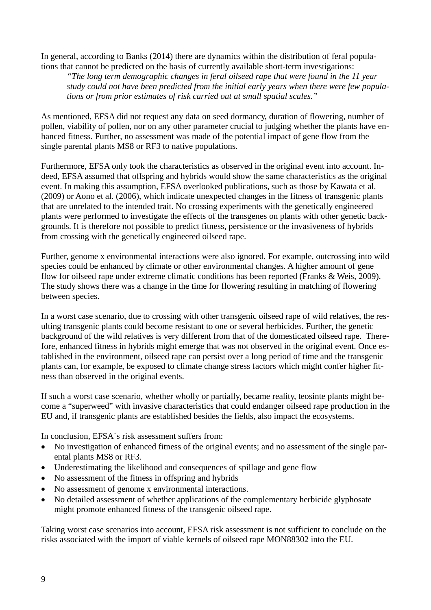In general, according to Banks (2014) there are dynamics within the distribution of feral populations that cannot be predicted on the basis of currently available short-term investigations:

*"The long term demographic changes in feral oilseed rape that were found in the 11 year study could not have been predicted from the initial early years when there were few populations or from prior estimates of risk carried out at small spatial scales."*

As mentioned, EFSA did not request any data on seed dormancy, duration of flowering, number of pollen, viability of pollen, nor on any other parameter crucial to judging whether the plants have enhanced fitness. Further, no assessment was made of the potential impact of gene flow from the single parental plants MS8 or RF3 to native populations.

Furthermore, EFSA only took the characteristics as observed in the original event into account. Indeed, EFSA assumed that offspring and hybrids would show the same characteristics as the original event. In making this assumption, EFSA overlooked publications, such as those by Kawata et al. (2009) or Aono et al. (2006), which indicate unexpected changes in the fitness of transgenic plants that are unrelated to the intended trait. No crossing experiments with the genetically engineered plants were performed to investigate the effects of the transgenes on plants with other genetic backgrounds. It is therefore not possible to predict fitness, persistence or the invasiveness of hybrids from crossing with the genetically engineered oilseed rape.

Further, genome x environmental interactions were also ignored. For example, outcrossing into wild species could be enhanced by climate or other environmental changes. A higher amount of gene flow for oilseed rape under extreme climatic conditions has been reported (Franks & Weis, 2009). The study shows there was a change in the time for flowering resulting in matching of flowering between species.

In a worst case scenario, due to crossing with other transgenic oilseed rape of wild relatives, the resulting transgenic plants could become resistant to one or several herbicides. Further, the genetic background of the wild relatives is very different from that of the domesticated oilseed rape. Therefore, enhanced fitness in hybrids might emerge that was not observed in the original event. Once established in the environment, oilseed rape can persist over a long period of time and the transgenic plants can, for example, be exposed to climate change stress factors which might confer higher fitness than observed in the original events.

If such a worst case scenario, whether wholly or partially, became reality, teosinte plants might become a "superweed" with invasive characteristics that could endanger oilseed rape production in the EU and, if transgenic plants are established besides the fields, also impact the ecosystems.

In conclusion, EFSA´s risk assessment suffers from:

- No investigation of enhanced fitness of the original events; and no assessment of the single parental plants MS8 or RF3.
- Underestimating the likelihood and consequences of spillage and gene flow
- No assessment of the fitness in offspring and hybrids
- No assessment of genome x environmental interactions.
- No detailed assessment of whether applications of the complementary herbicide glyphosate might promote enhanced fitness of the transgenic oilseed rape.

Taking worst case scenarios into account, EFSA risk assessment is not sufficient to conclude on the risks associated with the import of viable kernels of oilseed rape MON88302 into the EU.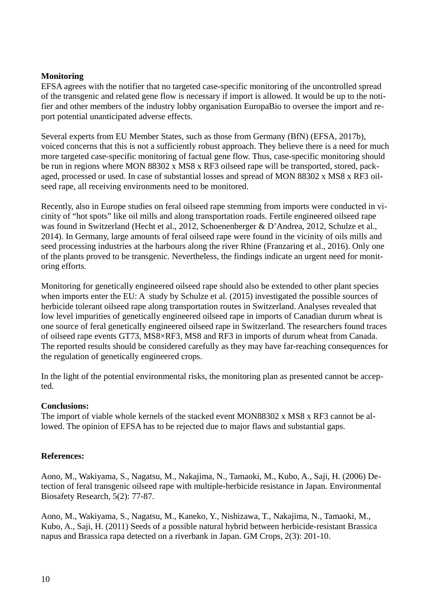### **Monitoring**

EFSA agrees with the notifier that no targeted case-specific monitoring of the uncontrolled spread of the transgenic and related gene flow is necessary if import is allowed. It would be up to the notifier and other members of the industry lobby organisation EuropaBio to oversee the import and report potential unanticipated adverse effects.

Several experts from EU Member States, such as those from Germany (BfN) (EFSA, 2017b), voiced concerns that this is not a sufficiently robust approach. They believe there is a need for much more targeted case-specific monitoring of factual gene flow. Thus, case-specific monitoring should be run in regions where MON 88302 x MS8 x RF3 oilseed rape will be transported, stored, packaged, processed or used. In case of substantial losses and spread of MON 88302 x MS8 x RF3 oilseed rape, all receiving environments need to be monitored.

Recently, also in Europe studies on feral oilseed rape stemming from imports were conducted in vicinity of "hot spots" like oil mills and along transportation roads. Fertile engineered oilseed rape was found in Switzerland (Hecht et al., 2012, Schoenenberger & D'Andrea, 2012, Schulze et al., 2014). In Germany, large amounts of feral oilseed rape were found in the vicinity of oils mills and seed processing industries at the harbours along the river Rhine (Franzaring et al., 2016). Only one of the plants proved to be transgenic. Nevertheless, the findings indicate an urgent need for monitoring efforts.

Monitoring for genetically engineered oilseed rape should also be extended to other plant species when imports enter the EU: A study by Schulze et al. (2015) investigated the possible sources of herbicide tolerant oilseed rape along transportation routes in Switzerland. Analyses revealed that low level impurities of genetically engineered oilseed rape in imports of Canadian durum wheat is one source of feral genetically engineered oilseed rape in Switzerland. The researchers found traces of oilseed rape events GT73, MS8×RF3, MS8 and RF3 in imports of durum wheat from Canada. The reported results should be considered carefully as they may have far-reaching consequences for the regulation of genetically engineered crops.

In the light of the potential environmental risks, the monitoring plan as presented cannot be accepted.

### **Conclusions:**

The import of viable whole kernels of the stacked event MON88302 x MS8 x RF3 cannot be allowed. The opinion of EFSA has to be rejected due to major flaws and substantial gaps.

### **References:**

Aono, M., Wakiyama, S., Nagatsu, M., Nakajima, N., Tamaoki, M., Kubo, A., Saji, H. (2006) Detection of feral transgenic oilseed rape with multiple-herbicide resistance in Japan. Environmental Biosafety Research, 5(2): 77-87.

Aono, M., Wakiyama, S., Nagatsu, M., Kaneko, Y., Nishizawa, T., Nakajima, N., Tamaoki, M., Kubo, A., Saji, H. (2011) Seeds of a possible natural hybrid between herbicide-resistant Brassica napus and Brassica rapa detected on a riverbank in Japan. GM Crops, 2(3): 201-10.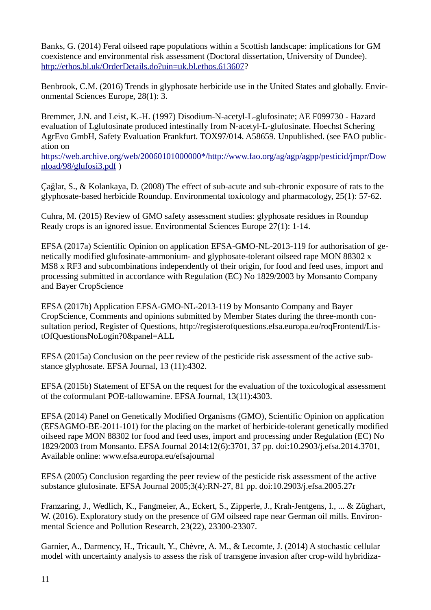Banks, G. (2014) Feral oilseed rape populations within a Scottish landscape: implications for GM coexistence and environmental risk assessment (Doctoral dissertation, University of Dundee). [http://ethos.bl.uk/OrderDetails.do?uin=uk.bl.ethos.613607?](http://ethos.bl.uk/OrderDetails.do?uin=uk.bl.ethos.613607)

Benbrook, C.M. (2016) Trends in glyphosate herbicide use in the United States and globally. Environmental Sciences Europe, 28(1): 3.

Bremmer, J.N. and Leist, K.-H. (1997) Disodium-N-acetyl-L-glufosinate; AE F099730 - Hazard evaluation of Lglufosinate produced intestinally from N-acetyl-L-glufosinate. Hoechst Schering AgrEvo GmbH, Safety Evaluation Frankfurt. TOX97/014. A58659. Unpublished. (see FAO publication on

[https://web.archive.org/web/20060101000000\\*/http://www.fao.org/ag/agp/agpp/pesticid/jmpr/Dow](https://web.archive.org/web/20060101000000*/http://www.fao.org/ag/agp/agpp/pesticid/jmpr/Download/98/glufosi3.pdf) [nload/98/glufosi3.pdf](https://web.archive.org/web/20060101000000*/http://www.fao.org/ag/agp/agpp/pesticid/jmpr/Download/98/glufosi3.pdf) )

Çağlar, S., & Kolankaya, D. (2008) The effect of sub-acute and sub-chronic exposure of rats to the glyphosate-based herbicide Roundup. Environmental toxicology and pharmacology, 25(1): 57-62.

Cuhra, M. (2015) Review of GMO safety assessment studies: glyphosate residues in Roundup Ready crops is an ignored issue. Environmental Sciences Europe 27(1): 1-14.

EFSA (2017a) Scientific Opinion on application EFSA-GMO-NL-2013-119 for authorisation of genetically modified glufosinate-ammonium- and glyphosate-tolerant oilseed rape MON 88302 x MS8 x RF3 and subcombinations independently of their origin, for food and feed uses, import and processing submitted in accordance with Regulation (EC) No 1829/2003 by Monsanto Company and Bayer CropScience

EFSA (2017b) Application EFSA-GMO-NL-2013-119 by Monsanto Company and Bayer CropScience, Comments and opinions submitted by Member States during the three-month consultation period, Register of Questions, http://registerofquestions.efsa.europa.eu/roqFrontend/ListOfQuestionsNoLogin?0&panel=ALL

EFSA (2015a) Conclusion on the peer review of the pesticide risk assessment of the active substance glyphosate. EFSA Journal, 13 (11):4302.

EFSA (2015b) Statement of EFSA on the request for the evaluation of the toxicological assessment of the coformulant POE-tallowamine. EFSA Journal, 13(11):4303.

EFSA (2014) Panel on Genetically Modified Organisms (GMO), Scientific Opinion on application (EFSAGMO-BE-2011-101) for the placing on the market of herbicide-tolerant genetically modified oilseed rape MON 88302 for food and feed uses, import and processing under Regulation (EC) No 1829/2003 from Monsanto. EFSA Journal 2014;12(6):3701, 37 pp. doi:10.2903/j.efsa.2014.3701, Available online: www.efsa.europa.eu/efsajournal

EFSA (2005) Conclusion regarding the peer review of the pesticide risk assessment of the active substance glufosinate. EFSA Journal 2005;3(4):RN-27, 81 pp. doi:10.2903/j.efsa.2005.27r

Franzaring, J., Wedlich, K., Fangmeier, A., Eckert, S., Zipperle, J., Krah-Jentgens, I., ... & Züghart, W. (2016). Exploratory study on the presence of GM oilseed rape near German oil mills. Environmental Science and Pollution Research, 23(22), 23300-23307.

Garnier, A., Darmency, H., Tricault, Y., Chèvre, A. M., & Lecomte, J. (2014) A stochastic cellular model with uncertainty analysis to assess the risk of transgene invasion after crop-wild hybridiza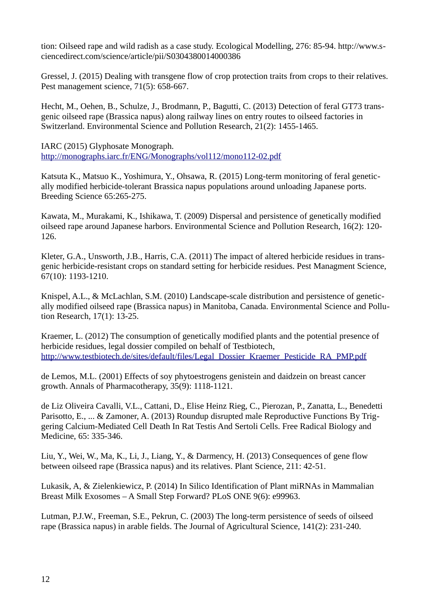tion: Oilseed rape and wild radish as a case study. Ecological Modelling, 276: 85-94. http://www.sciencedirect.com/science/article/pii/S0304380014000386

Gressel, J. (2015) Dealing with transgene flow of crop protection traits from crops to their relatives. Pest management science, 71(5): 658-667.

Hecht, M., Oehen, B., Schulze, J., Brodmann, P., Bagutti, C. (2013) Detection of feral GT73 transgenic oilseed rape (Brassica napus) along railway lines on entry routes to oilseed factories in Switzerland. Environmental Science and Pollution Research, 21(2): 1455-1465.

IARC (2015) Glyphosate Monograph. <http://monographs.iarc.fr/ENG/Monographs/vol112/mono112-02.pdf>

Katsuta K., Matsuo K., Yoshimura, Y., Ohsawa, R. (2015) Long-term monitoring of feral genetically modified herbicide-tolerant Brassica napus populations around unloading Japanese ports. Breeding Science 65:265-275.

Kawata, M., Murakami, K., Ishikawa, T. (2009) Dispersal and persistence of genetically modified oilseed rape around Japanese harbors. Environmental Science and Pollution Research, 16(2): 120- 126.

Kleter, G.A., Unsworth, J.B., Harris, C.A. (2011) The impact of altered herbicide residues in transgenic herbicide-resistant crops on standard setting for herbicide residues. Pest Managment Science, 67(10): 1193-1210.

Knispel, A.L., & McLachlan, S.M. (2010) Landscape-scale distribution and persistence of genetically modified oilseed rape (Brassica napus) in Manitoba, Canada. Environmental Science and Pollution Research, 17(1): 13-25.

Kraemer, L. (2012) The consumption of genetically modified plants and the potential presence of herbicide residues, legal dossier compiled on behalf of Testbiotech, [http://www.testbiotech.de/sites/default/files/Legal\\_Dossier\\_Kraemer\\_Pesticide\\_RA\\_PMP.pdf](http://www.testbiotech.de/sites/default/files/Legal_Dossier_Kraemer_Pesticide_RA_PMP.pdf)

de Lemos, M.L. (2001) Effects of soy phytoestrogens genistein and daidzein on breast cancer growth. Annals of Pharmacotherapy, 35(9): 1118-1121.

de Liz Oliveira Cavalli, V.L., Cattani, D., Elise Heinz Rieg, C., Pierozan, P., Zanatta, L., Benedetti Parisotto, E., ... & Zamoner, A. (2013) Roundup disrupted male Reproductive Functions By Triggering Calcium-Mediated Cell Death In Rat Testis And Sertoli Cells. Free Radical Biology and Medicine, 65: 335-346.

Liu, Y., Wei, W., Ma, K., Li, J., Liang, Y., & Darmency, H. (2013) Consequences of gene flow between oilseed rape (Brassica napus) and its relatives. Plant Science, 211: 42-51.

Lukasik, A, & Zielenkiewicz, P. (2014) In Silico Identification of Plant miRNAs in Mammalian Breast Milk Exosomes – A Small Step Forward? PLoS ONE 9(6): e99963.

Lutman, P.J.W., Freeman, S.E., Pekrun, C. (2003) The long-term persistence of seeds of oilseed rape (Brassica napus) in arable fields. The Journal of Agricultural Science, 141(2): 231-240.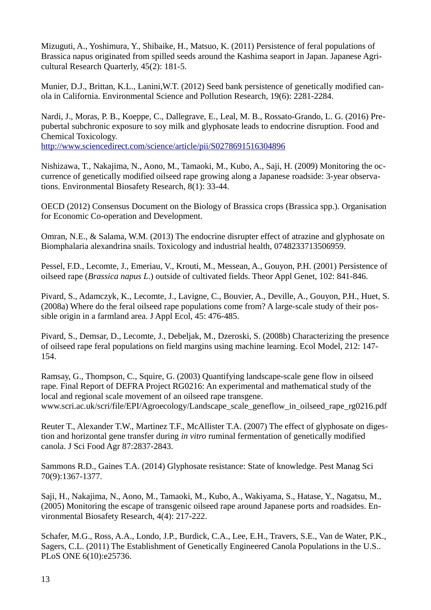Mizuguti, A., Yoshimura, Y., Shibaike, H., Matsuo, K. (2011) Persistence of feral populations of Brassica napus originated from spilled seeds around the Kashima seaport in Japan. Japanese Agricultural Research Quarterly, 45(2): 181-5.

Munier, D.J., Brittan, K.L., Lanini,W.T. (2012) Seed bank persistence of genetically modified canola in California. Environmental Science and Pollution Research, 19(6): 2281-2284.

Nardi, J., Moras, P. B., Koeppe, C., Dallegrave, E., Leal, M. B., Rossato-Grando, L. G. (2016) Prepubertal subchronic exposure to soy milk and glyphosate leads to endocrine disruption. Food and Chemical Toxicology.

<http://www.sciencedirect.com/science/article/pii/S0278691516304896>

Nishizawa, T., Nakajima, N., Aono, M., Tamaoki, M., Kubo, A., Saji, H. (2009) Monitoring the occurrence of genetically modified oilseed rape growing along a Japanese roadside: 3-year observations. Environmental Biosafety Research, 8(1): 33-44.

OECD (2012) Consensus Document on the Biology of Brassica crops (Brassica spp.). Organisation for Economic Co-operation and Development.

Omran, N.E., & Salama, W.M. (2013) The endocrine disrupter effect of atrazine and glyphosate on Biomphalaria alexandrina snails. Toxicology and industrial health, 0748233713506959.

Pessel, F.D., Lecomte, J., Emeriau, V., Krouti, M., Messean, A., Gouyon, P.H. (2001) Persistence of oilseed rape (*Brassica napus L*.) outside of cultivated fields. Theor Appl Genet, 102: 841-846.

Pivard, S., Adamczyk, K., Lecomte, J., Lavigne, C., Bouvier, A., Deville, A., Gouyon, P.H., Huet, S. (2008a) Where do the feral oilseed rape populations come from? A large-scale study of their possible origin in a farmland area. J Appl Ecol, 45: 476-485.

Pivard, S., Demsar, D., Lecomte, J., Debeljak, M., Dzeroski, S. (2008b) Characterizing the presence of oilseed rape feral populations on field margins using machine learning. Ecol Model, 212: 147- 154.

Ramsay, G., Thompson, C., Squire, G. (2003) Quantifying landscape-scale gene flow in oilseed rape. Final Report of DEFRA Project RG0216: An experimental and mathematical study of the local and regional scale movement of an oilseed rape transgene. www.scri.ac.uk/scri/file/EPI/Agroecology/Landscape\_scale\_geneflow\_in\_oilseed\_rape\_rg0216.pdf

Reuter T., Alexander T.W., Martinez T.F., McAllister T.A. (2007) The effect of glyphosate on digestion and horizontal gene transfer during *in vitro* ruminal fermentation of genetically modified canola. J Sci Food Agr 87:2837-2843.

Sammons R.D., Gaines T.A. (2014) Glyphosate resistance: State of knowledge. Pest Manag Sci 70(9):1367-1377.

Saji, H., Nakajima, N., Aono, M., Tamaoki, M., Kubo, A., Wakiyama, S., Hatase, Y., Nagatsu, M., (2005) Monitoring the escape of transgenic oilseed rape around Japanese ports and roadsides. Environmental Biosafety Research, 4(4): 217-222.

Schafer, M.G., Ross, A.A., Londo, J.P., Burdick, C.A., Lee, E.H., Travers, S.E., Van de Water, P.K., Sagers, C.L. (2011) The Establishment of Genetically Engineered Canola Populations in the U.S.. PLoS ONE 6(10):e25736.